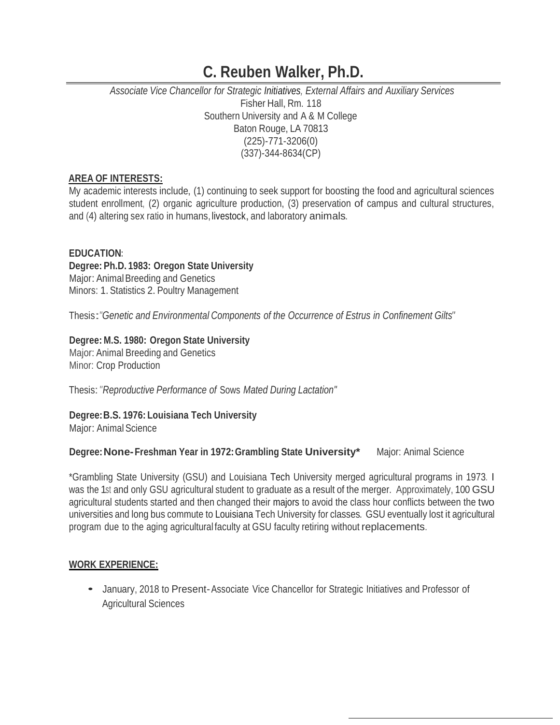### *Associate Vice Chancellor for Strategic Initiatives, External Affairs and Auxiliary Services* Fisher Hall, Rm. 118 Southern University and A & M College Baton Rouge, LA 70813 (225)-771-3206(0) (337)-344-8634(CP)

#### **AREA OF INTERESTS:**

My academic interests include, (1) continuing to seek support for boosting the food and agricultural sciences student enrollment, (2) organic agriculture production, (3) preservation of campus and cultural structures, and (4) altering sex ratio in humans, livestock, and laboratory animals.

#### **EDUCATION:**

#### **Degree: Ph.D. 1983: Oregon State University** Major:AnimalBreeding and Genetics

Minors: 1. Statistics 2. Poultry Management

Thesis:*"Genetic and Environmental Components of the Occurrence of Estrus in Confinement Gilts"*

#### **Degree: M.S. 1980: Oregon State University**

Major:Animal Breeding and Genetics Minor: Crop Production

Thesis:*"Reproductive Performance of* Sows *Mated During Lactation"*

#### **Degree:B.S. 1976: Louisiana Tech University**

Major: Animal Science

#### **Degree:None-Freshman Year in 1972:Grambling State University\*** Major: Animal Science

\*Grambling State University (GSU) and Louisiana Tech University merged agricultural programs in 1973. I was the 1st and only GSU agricultural student to graduate as a result of the merger. Approximately, 100 GSU agricultural students started and then changed their majors to avoid the class hour conflicts between the two universities and long bus commute to Louisiana Tech University for classes. GSU eventually lost it agricultural program due to the aging agricultural faculty at GSU faculty retiring without replacements.

#### **WORK EXPERIENCE:**

• January, <sup>2018</sup> to Present-Associate Vice Chancellor for Strategic Initiatives and Professor of Agricultural Sciences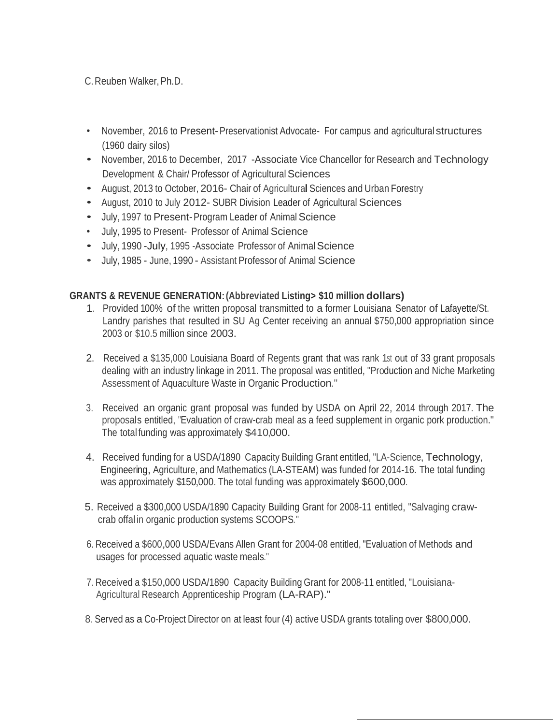- November, 2016 to Present-Preservationist Advocate- For campus and agricultural structures (1960 dairy silos)
- November, <sup>2016</sup> to December, <sup>2017</sup> -Associate Vice Chancellor for Research and Technology Development & Chair/ Professor of Agricultural Sciences
- August, 2013 to October, 2016- Chair of Agricultural Sciences and Urban Forestry
- August, 2010 to July 2012- SUBR Division Leader of Agricultural Sciences
- July, 1997 to Present-Program Leader of Animal Science
- July, 1995 to Present- Professor of Animal Science
- July, 1990 July, 1995 Associate Professor of Animal Science
- July, <sup>1985</sup> June, <sup>1990</sup> Assistant Professor of Animal Science

## **GRANTS & REVENUE GENERATION:(Abbreviated Listing> \$10 million dollars)**

- 1. Provided 100% of the written proposal transmitted to a former Louisiana Senator of Lafayette/St. Landry parishes that resulted in SU Ag Center receiving an annual \$750,000 appropriation since 2003 or \$10.5 million since 2003.
- 2. Received a \$135,000 Louisiana Board of Regents grant that was rank 1st out of 33 grant proposals dealing with an industry linkage in 2011. The proposal was entitled, "Production and Niche Marketing Assessment of Aquaculture Waste in Organic Production."
- 3. Received an organic grant proposal was funded by USDA on April 22, 2014 through 2017. The proposals entitled, "Evaluation of craw-crab meal as <sup>a</sup> feed supplement in organic pork production." The total funding was approximately \$410,000.
- 4. Received funding for a USDA/1890 Capacity Building Grant entitled,"LA-Science, Technology, Engineering, Agriculture, and Mathematics (LA-STEAM) was funded for 2014-16. The total funding was approximately \$150,000. The total funding was approximately \$600,000.
- 5. Received a \$300,000 USDA/1890 Capacity Building Grant for 2008-11 entitled, "Salvaging crawcrab offal in organic production systems SCOOPS."
- 6. Received <sup>a</sup> \$600,000 USDA/Evans Allen Grant for 2004-08 entitled, "Evaluation of Methods and usages for processed aquatic waste meals."
- 7. Received <sup>a</sup> \$150,000 USDA/1890 Capacity Building Grant for 2008-11 entitled, "Louisiana-Agricultural Research Apprenticeship Program (LA-RAP)."
- 8.Served as a Co-Project Director on at least four (4) active USDA grants totaling over \$800,000.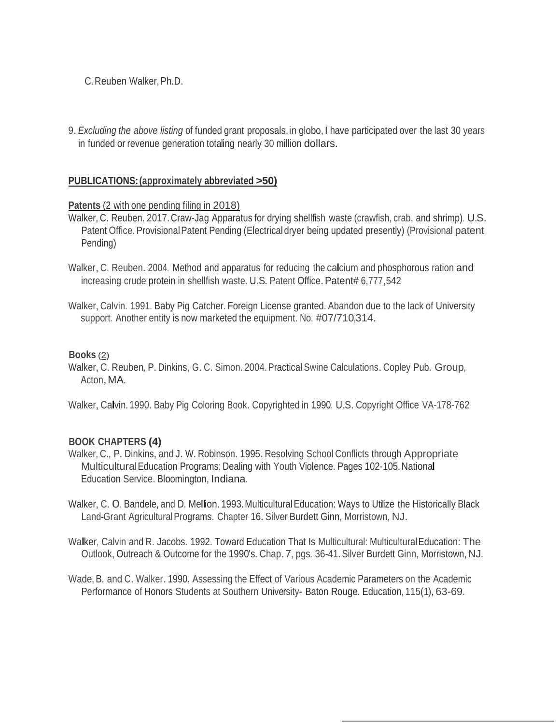9.*Excluding the above listing* of funded grant proposals,in globo, I have participated over the last <sup>30</sup> years in funded or revenue generation totaling nearly 30 million dollars.

#### **PUBLICATIONS:(approximately abbreviated >50)**

#### **Patents** (2 with one pending filing in 2018)

- Walker, C. Reuben. 2017.Craw-Jag Apparatus for drying shellfish waste (crawfish, crab, and shrimp). U.S. Patent Office. Provisional Patent Pending (Electrical dryer being updated presently) (Provisional patent Pending)
- Walker, C. Reuben. 2004. Method and apparatus for reducing the calcium and phosphorous ration and increasing crude protein in shellfish waste. U.S. Patent Office. Patent# 6,777,542
- Walker, Calvin. 1991. Baby Pig Catcher. Foreign License granted. Abandon due to the lack of University support. Another entity is now marketed the equipment. No. #07/710,314.

#### **Books** (2)

Walker, C. Reuben, P. Dinkins, G. C. Simon. 2004. Practical Swine Calculations. Copley Pub. Group, Acton, MA.

Walker, Calvin. 1990. Baby Pig Coloring Book. Copyrighted in 1990. U.S. Copyright Office VA-178-762

#### **BOOK CHAPTERS (4)**

- Walker, C., P. Dinkins, and J. W. Robinson. 1995.Resolving School Conflicts through Appropriate MulticulturalEducation Programs: Dealing with Youth Violence. Pages 102-105.National Education Service. Bloomington, Indiana.
- Walker, C. O. Bandele, and D. Mellion. 1993. Multicultural Education: Ways to Utilize the Historically Black Land-Grant Agricultural Programs. Chapter 16. Silver Burdett Ginn, Morristown, NJ.
- Walker, Calvin and R. Jacobs. 1992. Toward Education That Is Multicultural: Multicultural Education: The Outlook,Outreach & Outcome for the 1990's.Chap.7, pgs. 36-41.Silver Burdett Ginn, Morristown, NJ.
- Wade,B. and C. Walker. 1990. Assessing the Effect of Various Academic Parameters on the Academic Performance of Honors Students at Southern University- Baton Rouge. Education, 115(1), 63-69.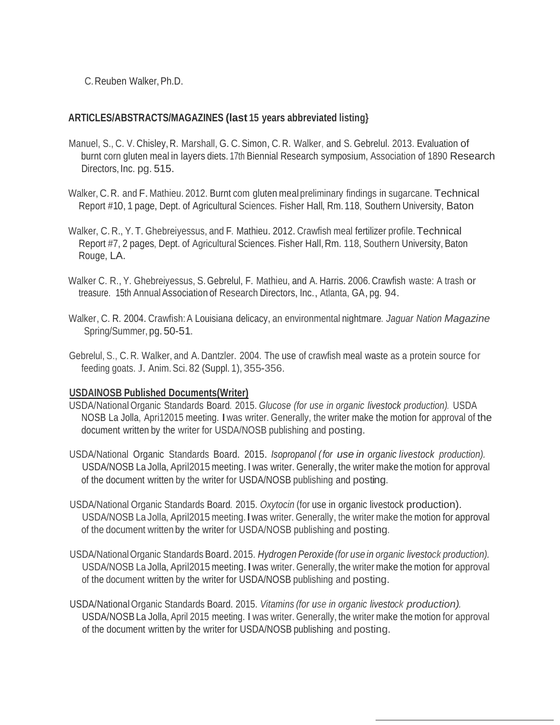### **ARTICLES/ABSTRACTS/MAGAZINES (last 15 years abbreviated listing}**

- Manuel, S., C. V. Chisley, R. Marshall, G.C.Simon, C. R. Walker, and S. Gebrelul. 2013. Evaluation of burnt corn gluten meal in layers diets. 17th Biennial Research symposium, Association of 1890 Research Directors, Inc. pg. 515.
- Walker, C.R. and F.Mathieu. 2012. Burnt com gluten meal preliminary findings in sugarcane. Technical Report #10, 1 page, Dept. of Agricultural Sciences. Fisher Hall, Rm. 118, Southern University, Baton
- Walker, C. R., Y. T. Ghebreiyessus, and F. Mathieu. 2012. Crawfish meal fertilizer profile. Technical Report #7, 2 pages, Dept. of Agricultural Sciences. Fisher Hall, Rm. 118, Southern University, Baton Rouge, LA.
- Walker C. R., Y. Ghebreiyessus, S. Gebrelul, F. Mathieu, and A. Harris. 2006. Crawfish waste: <sup>A</sup> trash or treasure. 15th Annual Association of Research Directors, Inc., Atlanta, GA, pg. 94.
- Walker,C. R. 2004.Crawfish:A Louisiana delicacy, an environmental nightmare. *Jaguar Nation Magazine* Spring/Summer, pg. 50-51.
- Gebrelul, S., C. R. Walker, and A. Dantzler. 2004. The use of crawfish meal waste as a protein source for feeding goats. J. Anim.Sci. 82 (Suppl. 1), 355-356.

#### **USDAINOSB Published Documents(Writer)**

- USDA/National Organic Standards Board. 2015. *Glucose (for use in organic livestock production).* USDA NOSB La Jolla, Apri12015 meeting. Iwas writer. Generally, the writer make the motion for approval of the document written by the writer for USDA/NOSB publishing and posting.
- USDA/National Organic Standards Board. 2015. *Isopropanol (for use in organic livestock production).* USDA/NOSB La Jolla, April2015 meeting. I was writer. Generally, the writer make the motion for approval of the document written by the writer for USDA/NOSB publishing and posting.
- USDA/National Organic Standards Board. 2015. *Oxytocin* (for use in organic livestock production). USDA/NOSB La Jolla, April2015 meeting. I was writer. Generally, the writer make the motion for approval of the document written by the writer for USDA/NOSB publishing and posting.
- USDA/NationalOrganic Standards Board.2015. *Hydrogen Peroxide (for use in organic livestock production).* USDA/NOSB La Jolla, April2015 meeting. I was writer. Generally, the writer make the motion for approval of the document written by the writer for USDA/NOSB publishing and posting.
- USDA/National Organic Standards Board. 2015. *Vitamins (for use in organic livestock production).* USDA/NOSB La Jolla, April 2015 meeting. I was writer. Generally, the writer make the motion for approval of the document written by the writer for USDA/NOSB publishing and posting.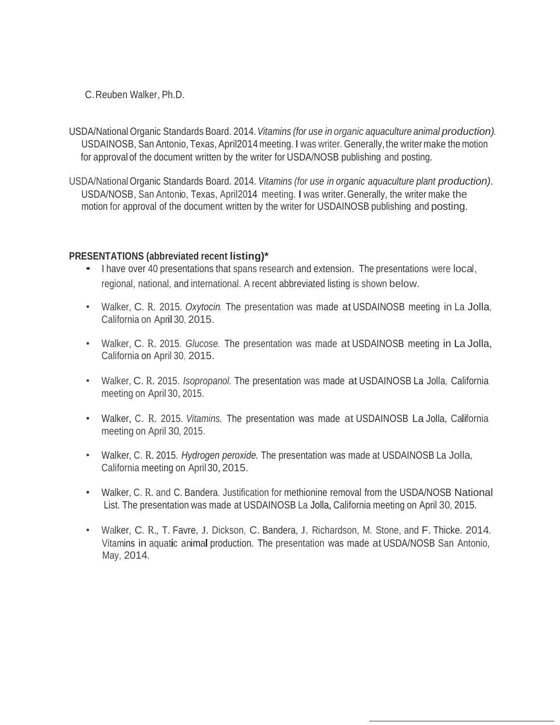- USDA/National Organic Standards Board. 2014.*Vitamins (for use in organic aquaculture animal production).* USDAINOSB, San Antonio, Texas, April2014 meeting. I was writer. Generally, the writer make the motion for approval of the document written by the writer for USDA/NOSB publishing and posting.
- USDA/National Organic Standards Board. 2014. *Vitamins (for use in organic aquaculture plant production).* USDA/NOSB, San Antonio, Texas, April2014 meeting. I was writer. Generally, the writer make the motion for approval of the document written by the writer for USDAINOSB publishing and posting.

#### **PRESENTATIONS (abbreviated recent listing)\***

- I have over <sup>40</sup> presentations that spans research and extension. The presentations were local, regional, national, and international. A recent abbreviated listing is shown below.
- Walker, C. R. 2015. *Oxytocin.* The presentation was made at USDAINOSB meeting in La Jolla, California on April 30, 2015.
- Walker, C. R. 2015. *Glucose.* The presentation was made at USDAINOSB meeting in La Jolla, California on April 30, 2015.
- Walker, C. R. 2015. *Isopropanol.* The presentation was made at USDAINOSB La Jolla, California meeting on April 30,2015.
- Walker, C. R. 2015. *Vitamins.* The presentation was made at USDAINOSB La Jolla, California meeting on April 30, 2015.
- Walker, C. R. 2015. *Hydrogen peroxide.* The presentation was made at USDAINOSB La Jolla, California meeting on April 30,2015.
- Walker, C. R. and C. Bandera. Justification for methionine removal from the USDA/NOSB National List. The presentation was made at USDAINOSB La Jolla, California meeting on April 30, 2015.
- Walker, C. R., T. Favre, J. Dickson, C. Bandera, J. Richardson, M. Stone, and F. Thicke. 2014. Vitamins in aquatic animal production. The presentation was made at USDA/NOSB San Antonio, May, 2014.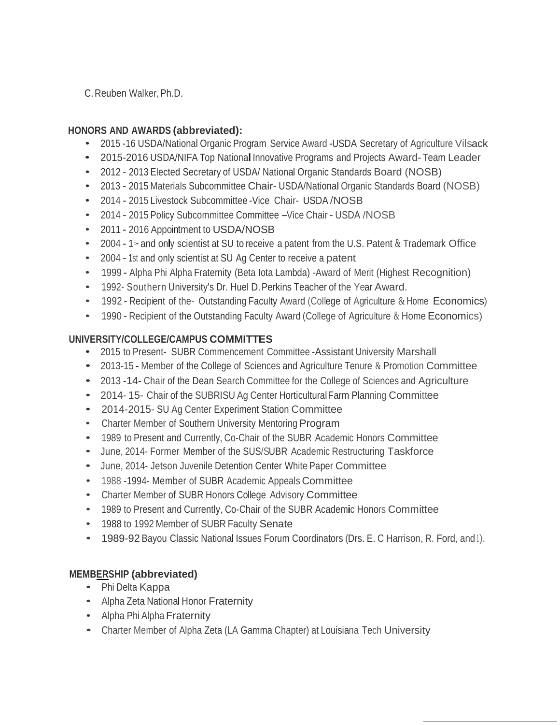## **HONORS AND AWARDS (abbreviated):**

- 2015 -16 USDA/National Organic Program Service Award -USDA Secretary of Agriculture Vilsack
- 2015-2016 USDA/NIFA Top National Innovative Programs and Projects Award-Team Leader
- <sup>2012</sup> <sup>2013</sup> Elected Secretary of USDA/ National Organic Standards Board (NOSB)
- 2013 2015 Materials Subcommittee Chair- USDA/National Organic Standards Board (NOSB)
- <sup>2014</sup> <sup>2015</sup> Livestock Subcommittee -Vice Chair- USDA /NOSB
- 2014 2015 Policy Subcommittee Committee -Vice Chair USDA / NOSB
- <sup>2011</sup> <sup>2016</sup> Appointment to USDA/NOSB
- 2004 15 and only scientist at SU to receive a patent from the U.S. Patent & Trademark Office
- <sup>2004</sup> 1st and only scientist at SU Ag Center to receive <sup>a</sup> patent
- 1999 Alpha Phi Alpha Fraternity (Beta lota Lambda) -Award of Merit (Highest Recognition)
- 1992- Southern University's Dr. Huel D.Perkins Teacher of the Year Award.
- 1992 Recipient of the Outstanding Faculty Award (College of Agriculture & Home Economics)
- 1990 Recipient of the Outstanding Faculty Award (College of Agriculture & Home Economics)

## **UNIVERSITY/COLLEGE/CAMPUS COMMITTES**

- <sup>2015</sup> to Present- SUBR Commencement Committee -Assistant University Marshall
- 2013-15 Member of the College of Sciences and Agriculture Tenure & Promotion Committee
- <sup>2013</sup> -14- Chair of the Dean Search Committee for the College of Sciences and Agriculture
- 2014- 15- Chair of the SUBRISU Ag Center HorticulturalFarm Planning Committee
- 2014-2015- SU Ag Center Experiment Station Committee
- Charter Member of Southern University Mentoring Program
- <sup>1989</sup> to Present and Currently, Co-Chair of the SUBR Academic Honors Committee
- June, 2014- Former Member of the SUS/SUBR Academic Restructuring Taskforce
- June, 2014- Jetson Juvenile Detention Center White Paper Committee
- <sup>1988</sup> -1994- Member of SUBR Academic Appeals Committee
- Charter Member of SUBR Honors College Advisory Committee
- <sup>1989</sup> to Present and Currently, Co-Chair of the SUBR Academic Honors Committee
- <sup>1988</sup> to 1992 Member of SUBR Faculty Senate
- 1989-92 Bayou Classic National Issues Forum Coordinators (Drs. E. C Harrison, R. Ford, and 1).

## **MEMBERSHIP (abbreviated)**

- Phi Delta Kappa
- Alpha Zeta National Honor Fraternity
- Alpha Phi Alpha Fraternity
- Charter Member of Alpha Zeta (LA Gamma Chapter) at Louisiana Tech University